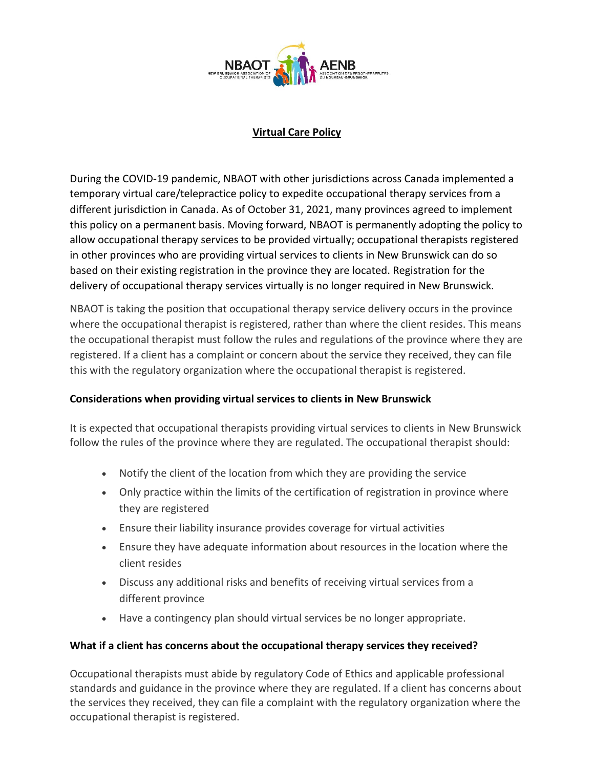

# **Virtual Care Policy**

During the COVID-19 pandemic, NBAOT with other jurisdictions across Canada implemented a temporary virtual care/telepractice policy to expedite occupational therapy services from a different jurisdiction in Canada. As of October 31, 2021, many provinces agreed to implement this policy on a permanent basis. Moving forward, NBAOT is permanently adopting the policy to allow occupational therapy services to be provided virtually; occupational therapists registered in other provinces who are providing virtual services to clients in New Brunswick can do so based on their existing registration in the province they are located. Registration for the delivery of occupational therapy services virtually is no longer required in New Brunswick.

NBAOT is taking the position that occupational therapy service delivery occurs in the province where the occupational therapist is registered, rather than where the client resides. This means the occupational therapist must follow the rules and regulations of the province where they are registered. If a client has a complaint or concern about the service they received, they can file this with the regulatory organization where the occupational therapist is registered.

## **Considerations when providing virtual services to clients in New Brunswick**

It is expected that occupational therapists providing virtual services to clients in New Brunswick follow the rules of the province where they are regulated. The occupational therapist should:

- Notify the client of the location from which they are providing the service
- Only practice within the limits of the certification of registration in province where they are registered
- Ensure their liability insurance provides coverage for virtual activities
- Ensure they have adequate information about resources in the location where the client resides
- Discuss any additional risks and benefits of receiving virtual services from a different province
- Have a contingency plan should virtual services be no longer appropriate.

## **What if a client has concerns about the occupational therapy services they received?**

Occupational therapists must abide by regulatory Code of Ethics and applicable professional standards and guidance in the province where they are regulated. If a client has concerns about the services they received, they can file a complaint with the regulatory organization where the occupational therapist is registered.